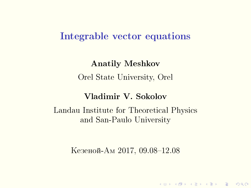## Integrable vector equations

Anatily Meshkov Orel State University, Orel

### Vladimir V. Sokolov

Landau Institute for Theoretical Physics and San-Paulo University

Кезеной-Ам 2017, 09.08-12.08

K ロ ▶ K 레 ≯ K X B ≯ K 파 ≯ X 9 Q Q Q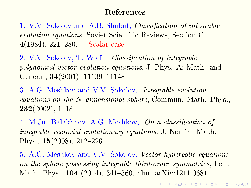### References

1. V.V. Sokolov and A.B. Shabat, *Classification of integrable* evolution equations, Soviet Scientific Reviews, Section C, 4(1984), 221–280. Scalar case

2. V.V. Sokolov, T. Wolf, *Classification of integrable* polynomial vector evolution equations, J. Phys. A: Math. and General, 34(2001), 11139-11148.

3. A.G. Meshkov and V.V. Sokolov, Integrable evolution equations on the N-dimensional sphere, Commun. Math. Phys.,  $232(2002)$ , 1-18.

4. M.Ju. Balakhnev, A.G. Meshkov, On a classification of integrable vectorial evolutionary equations, J. Nonlin. Math. Phys.,  $15(2008)$ ,  $212-226$ .

5. A.G. Meshkov and V.V. Sokolov, Vector hyperbolic equations on the sphere possessing integrable third-order symmetries, Lett. Math. Phys., 104 (2014), 341–360, nlin. arXiv:1211.0681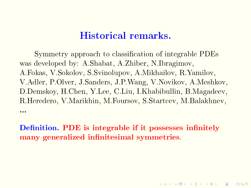# Historical remarks.

Symmetry approach to classification of integrable PDEs was developed by: A.Shabat, A.Zhiber, N.Ibragimov, A.Fokas, V.Sokolov, S.Svinolupov, A.Mikhailov, R.Yamilov, V.Adler, P.Olver, J.Sanders, J.P.Wang, V.Novikov, A.Meshkov, D.Demskoy, H.Chen, Y.Lee, C.Liu, I.Khabibullin, B.Magadeev, R.Heredero, V.Marikhin, M.Foursov, S.Startcev, M.Balakhnev, ...

Definition. PDE is integrable if it possesses infinitely many generalized infinitesimal symmetries.

**ADD REPARED ARE PROVIDE**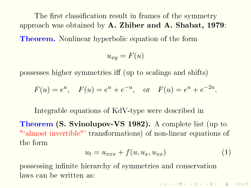The first classification result in frames of the symmetry approach was obtained by  $\bf{A}$ . Zhiber and  $\bf{A}$ . Shabat, 1979: **Theorem.** Nonlinear hyperbolic equation of the form

$$
u_{xy} = F(u)
$$

possesses higher symmetries iff (up to scalings and shifts)

$$
F(u) = e^u
$$
,  $F(u) = e^u + e^{-u}$ , or  $F(u) = e^u + e^{-2u}$ .

Integrable equations of KdV-type were described in

Theorem (S. Svinolupov-VS 1982). A complete list (up to "`almost invertible"' transformations) of non-linear equations of the form

$$
u_t = u_{xxx} + f(u, u_x, u_{xx})
$$
\n<sup>(1)</sup>

**K ロ ▶ K 레 ▶ K 코 ▶ K 코 ▶ 『코』 ◆ 9 Q OK** 

possessing infinite hierarchy of symmetries and conservation laws can be written as: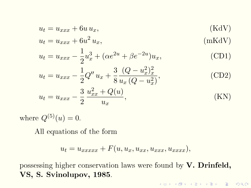$$
u_t = u_{xxx} + 6u u_x,
$$
  

$$
u_t = u_{xxx} + 6u^2 u
$$
  
(KdV)  

$$
(mKdV)
$$

$$
u_t = u_{xxx} + 6u^2 u_x, \qquad (\text{mKdV})
$$

$$
u_t = u_{xxx} - \frac{1}{2}u_x^3 + (\alpha e^{2u} + \beta e^{-2u})u_x,
$$
 (CD1)

$$
u_t = u_{xxx} - \frac{1}{2}Q''u_x + \frac{3}{8}\frac{(Q - u_x^2)_x^2}{u_x(Q - u_x^2)},
$$
(CD2)

$$
u_t = u_{xxx} - \frac{3}{2} \frac{u_{xx}^2 + Q(u)}{u_x},
$$
 (KN)

where  $Q^{(5)}(u) = 0$ .

All equations of the form

$$
u_t = u_{xxxxx} + F(u, u_x, u_{xx}, u_{xxx}, u_{xxxx}),
$$

possessing higher conservation laws were found by V. Drinfeld, VS, S. Svinolupov, 1985.

KID KA KERKER E VOOR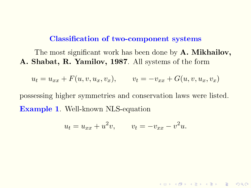#### Classification of two-component systems

The most significant work has been done by **A. Mikhailov**, A. Shabat, R. Yamilov, 1987. All systems of the form

$$
u_t = u_{xx} + F(u, v, u_x, v_x), \qquad v_t = -v_{xx} + G(u, v, u_x, v_x)
$$

possessing higher symmetries and conservation laws were listed. Example 1. Well-known NLS-equation

$$
u_t = u_{xx} + u^2 v, \qquad v_t = -v_{xx} - v^2 u.
$$

**KORKA SERVER ORA**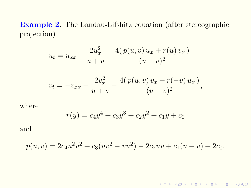Example 2. The Landau-Lifshitz equation (after stereographic projection)

$$
u_t = u_{xx} - \frac{2u_x^2}{u+v} - \frac{4(p(u,v)u_x + r(u)v_x)}{(u+v)^2}
$$

$$
v_t = -v_{xx} + \frac{2v_x^2}{u+v} - \frac{4(p(u,v)v_x + r(-v)u_x)}{(u+v)^2},
$$

where

$$
r(y) = c_4 y^4 + c_3 y^3 + c_2 y^2 + c_1 y + c_0
$$

and

$$
p(u, v) = 2c_4u^2v^2 + c_3(uv^2 - vu^2) - 2c_2uv + c_1(u - v) + 2c_0.
$$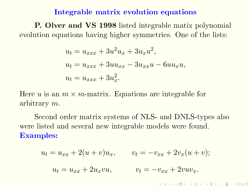#### Integrable matrix evolution equations

P. Olver and VS 1998 listed integrable matix polynomial evolution equations having higher symmetries. One of the lists:

$$
u_t = u_{xxx} + 3u^2u_x + 3u_xu^2,
$$
  
\n
$$
u_t = u_{xxx} + 3uu_{xx} - 3u_{xx}u - 6uu_xu,
$$
  
\n
$$
u_t = u_{xxx} + 3u_x^2.
$$

Here u is an  $m \times m$ -matrix. Equations are integrable for arbitrary m.

Second order matrix systems of NLS- and DNLS-types also were listed and several new integrable models were found. Examples:

$$
u_t = u_{xx} + 2(u+v)u_x, \qquad v_t = -v_{xx} + 2v_x(u+v);
$$
  

$$
u_t = u_{xx} + 2u_xvu, \qquad v_t = -v_{xx} + 2vuv_x.
$$

 $000$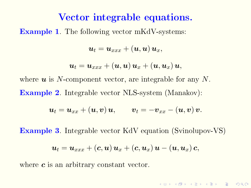## Vector integrable equations.

Example 1. The following vector mKdV-systems:

$$
\boldsymbol{u}_{t}=\boldsymbol{u}_{xxx}+\left(\boldsymbol{u},\boldsymbol{u}\right)\boldsymbol{u}_{x},
$$

$$
\boldsymbol{u}_{t}=\boldsymbol{u}_{xxx}+\left(\boldsymbol{u},\boldsymbol{u}\right)\boldsymbol{u}_{x}+\left(\boldsymbol{u},\boldsymbol{u}_{x}\right)\boldsymbol{u},
$$

where  $u$  is N-component vector, are integrable for any N. Example 2. Integrable vector NLS-system (Manakov):

$$
\boldsymbol{u}_{t}=\boldsymbol{u}_{xx}+\left(\boldsymbol{u},\boldsymbol{v}\right)\boldsymbol{u},\qquad\boldsymbol{v}_{t}=-\boldsymbol{v}_{xx}-\left(\boldsymbol{u},\boldsymbol{v}\right)\boldsymbol{v}.
$$

Example 3. Integrable vector KdV equation (Svinolupov-VS)

$$
\boldsymbol{u}_{t}=\boldsymbol{u}_{xxx}+\left(\boldsymbol{c},\boldsymbol{u}\right)\boldsymbol{u}_{x}+\left(\boldsymbol{c},\boldsymbol{u}_{x}\right)\boldsymbol{u}-\left(\boldsymbol{u},\boldsymbol{u}_{x}\right)\boldsymbol{c},
$$

**KORKA SERVER ORA** 

where  $c$  is an arbitrary constant vector.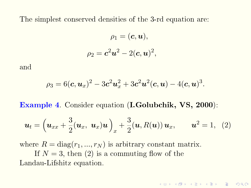The simplest conserved densities of the 3-rd equation are:

$$
\rho_1=(\boldsymbol{c},\boldsymbol{u}),\\ \rho_2=\boldsymbol{c}^2\boldsymbol{u}^2-2(\boldsymbol{c},\boldsymbol{u})^2,
$$

and

$$
\rho_3 = 6(\mathbf{c}, \mathbf{u}_x)^2 - 3\mathbf{c}^2\mathbf{u}_x^2 + 3\mathbf{c}^2\mathbf{u}^2(\mathbf{c}, \mathbf{u}) - 4(\mathbf{c}, \mathbf{u})^3.
$$

Example 4. Consider equation (I.Golubchik, VS, 2000):

$$
\boldsymbol{u}_t = \left(\boldsymbol{u}_{xx} + \frac{3}{2}(\boldsymbol{u}_x, \ \boldsymbol{u}_x)\boldsymbol{u}\right)_x + \frac{3}{2}(\boldsymbol{u}, R(\boldsymbol{u}))\,\boldsymbol{u}_x, \qquad \boldsymbol{u}^2 = 1, \tag{2}
$$

<span id="page-9-0"></span>**KORKA SERVER ORA** 

where  $R = diag(r_1, ..., r_N)$  is arbitrary constant matrix.

If  $N = 3$ , then [\(2\)](#page-9-0) is a commuting flow of the Landau-Lifshitz equation.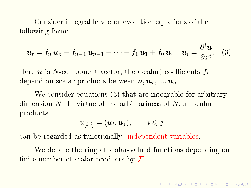Consider integrable vector evolution equations of the following form:

$$
\boldsymbol{u}_t = f_n \, \boldsymbol{u}_n + f_{n-1} \, \boldsymbol{u}_{n-1} + \cdots + f_1 \, \boldsymbol{u}_1 + f_0 \, \boldsymbol{u}, \quad \boldsymbol{u}_i = \frac{\partial^i \boldsymbol{u}}{\partial x^i}.
$$
 (3)

Here  $u$  is N-component vector, the (scalar) coefficients  $f_i$ depend on scalar products between  $u, u_x, ..., u_n$ .

We consider equations [\(3\)](#page-10-0) that are integrable for arbitrary dimension  $N$ . In virtue of the arbitrariness of  $N$ , all scalar products

$$
u_{[i,j]} = (\boldsymbol{u}_i, \boldsymbol{u}_j), \qquad i \leq j
$$

can be regarded as functionally independent variables.

We denote the ring of scalar-valued functions depending on finite number of scalar products by  $\mathcal{F}.$ 

<span id="page-10-0"></span>**KORKA SERVER ORA**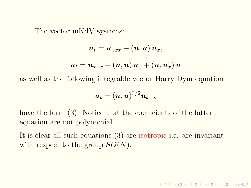The vector mKdV-systems:

$$
\begin{aligned} \boldsymbol{u}_{t} &= \boldsymbol{u}_{xxx} + \left(\boldsymbol{u}, \boldsymbol{u}\right) \boldsymbol{u}_{x}, \\ \boldsymbol{u}_{t} &= \boldsymbol{u}_{xxx} + \left(\boldsymbol{u}, \boldsymbol{u}\right) \boldsymbol{u}_{x} + \left(\boldsymbol{u}, \boldsymbol{u}_{x}\right) \boldsymbol{u} \end{aligned}
$$

as well as the following integrable vector Harry Dym equation

$$
\boldsymbol{u}_t = (\boldsymbol{u}, \boldsymbol{u})^{3/2} \boldsymbol{u}_{xxx}
$$

have the form  $(3)$ . Notice that the coefficients of the latter equation are not polynomial.

It is clear all such equations [\(3\)](#page-10-0) are isotropic i.e. are invariant with respect to the group  $SO(N)$ .

K □ ▶ K ● K K X B X X B X B X 9 Q Q Q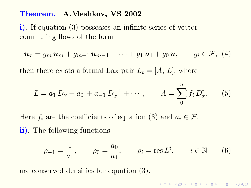#### Theorem. A.Meshkov, VS 2002

i). If equation [\(3\)](#page-10-0) possesses an infinite series of vector commuting flows of the form

<span id="page-12-1"></span>
$$
\boldsymbol{u}_{\tau} = g_m \, \boldsymbol{u}_m + g_{m-1} \, \boldsymbol{u}_{m-1} + \cdots + g_1 \, \boldsymbol{u}_1 + g_0 \, \boldsymbol{u}, \qquad g_i \in \mathcal{F}, \,\, (4)
$$

then there exists a formal Lax pair  $L_t = [A, L]$ , where

<span id="page-12-2"></span>
$$
L = a_1 D_x + a_0 + a_{-1} D_x^{-1} + \cdots, \qquad A = \sum_{0}^{n} f_i D_x^{i}.
$$
 (5)

Here  $f_i$  are the coefficients of equation [\(3\)](#page-10-0) and  $a_i \in \mathcal{F}$ . ii). The following functions

<span id="page-12-0"></span>
$$
\rho_{-1} = \frac{1}{a_1}, \qquad \rho_0 = \frac{a_0}{a_1}, \qquad \rho_i = \text{res } L^i, \qquad i \in \mathbb{N}
$$
\n(6)

are conserved densities for equation [\(3\)](#page-10-0).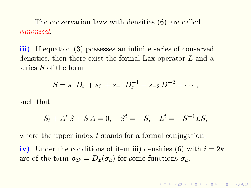The conservation laws with densities [\(6\)](#page-12-0) are called canonical.

iii). If equation [\(3\)](#page-10-0) possesses an infinite series of conserved densities, then there exist the formal Lax operator L and a series S of the form

$$
S = s_1 D_x + s_0 + s_{-1} D_x^{-1} + s_{-2} D^{-2} + \cdots,
$$

such that

$$
S_t + A^t S + S A = 0
$$
,  $S^t = -S$ ,  $L^t = -S^{-1}LS$ ,

where the upper index t stands for a formal conjugation.

iv). Under the conditions of item iii) densities [\(6\)](#page-12-0) with  $i = 2k$ are of the form  $\rho_{2k} = D_x(\sigma_k)$  for some functions  $\sigma_k$ .

**AD A 4 4 4 3 A 3 A 4 B A 4 B A 4 B A 4 B A 4 B A 4 B A 4 B A 4 B A 4 B A 4 B A 4 B A 4 B A 4 B A 4 B A 4 B A 4 B A 4 B A 4 B A 4 B A 4 B A 4 B A 4 B A 4 B A 4 B A 4 B A 4 B A 4 B A 4 B A 4 B A 4 B A 4 B A 4 B A 4 B A 4 B**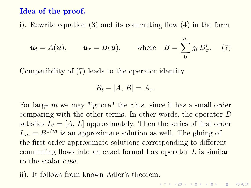#### Idea of the proof.

i). Rewrite equation [\(3\)](#page-10-0) and its commuting flow  $(4)$  in the form

$$
\boldsymbol{u}_t = A(\boldsymbol{u}), \qquad \boldsymbol{u}_\tau = B(\boldsymbol{u}), \qquad \text{where} \quad B = \sum_{0}^{m} g_i D_x^i. \tag{7}
$$

Compatibility of [\(7\)](#page-14-0) leads to the operator identity

<span id="page-14-0"></span>
$$
B_t - [A, B] = A_\tau.
$$

For large m we may "ignore" the r.h.s. since it has a small order comparing with the other terms. In other words, the operator B satisfies  $L_t = [A, L]$  approximately. Then the series of first order  $L_m = B^{1/m}$  is an approximate solution as well. The gluing of the first order approximate solutions corresponding to different commuting flows into an exact formal Lax operator  $L$  is similar to the scalar case.

ii). It follows from known Adler's theorem.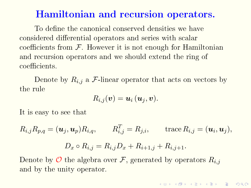## Hamiltonian and recursion operators.

To define the canonical conserved densities we have considered differential operators and series with scalar coefficients from  $\mathcal F$ . However it is not enough for Hamiltonian and recursion operators and we should extend the ring of coefficients.

Denote by  $R_{i,j}$  a  $\mathcal F$ -linear operator that acts on vectors by the rule

$$
R_{i,j}(\boldsymbol{v}) = \boldsymbol{u}_i\left(\boldsymbol{u}_j,\boldsymbol{v}\right).
$$

It is easy to see that

 $R_{i,j}R_{p,q}=(\boldsymbol{u}_j, \boldsymbol{u}_p)R_{i,q}, \qquad R_{i,j}^T=R_{j,i}, \qquad \text{trace}\, R_{i,j}=(\boldsymbol{u}_i, \boldsymbol{u}_j),$  $D_x \circ R_{i,j} = R_{i,j}D_x + R_{i+1,j} + R_{i,j+1}.$ 

Denote by  $\mathcal O$  the algebra over F, generated by operators  $R_{i,j}$ and by the unity operator.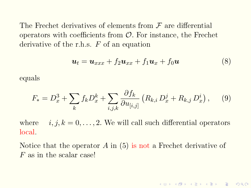The Frechet derivatives of elements from  $\mathcal F$  are differential operators with coefficients from  $\mathcal{O}$ . For instance, the Frechet derivative of the r.h.s.  $F$  of an equation

$$
\boldsymbol{u}_t = \boldsymbol{u}_{xxx} + f_2 \boldsymbol{u}_{xx} + f_1 \boldsymbol{u}_x + f_0 \boldsymbol{u} \tag{8}
$$

**KORKA SERVER ORA** 

equals

$$
F_{*} = D_{x}^{3} + \sum_{k} f_{k} D_{x}^{k} + \sum_{i,j,k} \frac{\partial f_{k}}{\partial u_{[i,j]}} \left( R_{k,i} D_{x}^{j} + R_{k,j} D_{x}^{i} \right), \quad (9)
$$

where  $i, j, k = 0, \ldots, 2$ . We will call such differential operators local.

Notice that the operator  $A$  in  $(5)$  is not a Frechet derivative of F as in the scalar case!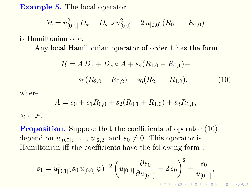Example 5. The local operator

$$
\mathcal{H} = u_{[0,0]}^2 D_x + D_x \circ u_{[0,0]}^2 + 2 u_{[0,0]} (R_{0,1} - R_{1,0})
$$

is Hamiltonian one.

Any local Hamiltonian operator of order 1 has the form

<span id="page-17-0"></span>
$$
\mathcal{H} = AD_x + D_x \circ A + s_4 (R_{1,0} - R_{0,1}) +
$$
  

$$
s_5 (R_{2,0} - R_{0,2}) + s_6 (R_{2,1} - R_{1,2}),
$$
 (10)

 $\Omega$ 

where

$$
A = s_0 + s_1 R_{0,0} + s_2 (R_{0,1} + R_{1,0}) + s_3 R_{1,1},
$$

 $s_i \in \mathcal{F}$ .

**Proposition.** Suppose that the coefficients of operator  $(10)$ depend on  $u_{[0,0]}, \ldots, u_{[2,2]}$  and  $s_0 \neq 0$ . This operator is Hamiltonian iff the coefficients have the following form :

$$
s_1 = u_{[0,1]}^2 (s_0 \, u_{[0,0]}\, \psi)^{-2} \left( u_{[0,1]}\frac{\partial s_0}{\partial u_{[0,1]}} + 2\, s_0 \right)^2 - \frac{s_0}{u_{[0,0]}},
$$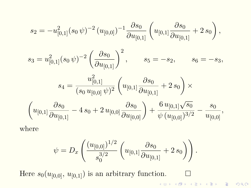$$
s_2 = -u_{[0,1]}^2 (s_0 \psi)^{-2} (u_{[0,0]})^{-1} \frac{\partial s_0}{\partial u_{[0,1]}} \left( u_{[0,1]} \frac{\partial s_0}{\partial u_{[0,1]}} + 2 s_0 \right),
$$

$$
s_3 = u_{[0,1]}^2 (s_0 \psi)^{-2} \left( \frac{\partial s_0}{\partial u_{[0,1]}} \right)^2
$$
,  $s_5 = -s_2$ ,  $s_6 = -s_3$ ,

$$
s_4 = \frac{u_{[0,1]}^2}{(s_0 u_{[0,0]}\psi)^2} \left(u_{[0,1]} \frac{\partial s_0}{\partial u_{[0,1]}} + 2 s_0\right) \times
$$

$$
\left(u_{[0,1]} \frac{\partial s_0}{\partial u_{[0,1]}} - 4 s_0 + 2 u_{[0,0]} \frac{\partial s_0}{\partial u_{[0,0]}}\right) + \frac{6 u_{[0,1]} \sqrt{s_0}}{\psi (u_{[0,0]})^{3/2}} - \frac{s_0}{u_{[0,0]}},
$$

where

$$
\psi = D_x \left( \frac{(u_{[0,0]})^{1/2}}{s_0^{3/2}} \left( u_{[0,1]} \frac{\partial s_0}{\partial u_{[0,1]}} + 2 s_0 \right) \right).
$$

Here  $s_0(u_{[0,0]}, u_{[0,1]})$  is an arbitrary function.  $\Box$ イロト イ部 トイ君 トイ君 トー 君

 $2990$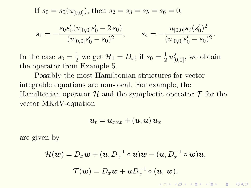If  $s_0 = s_0(u_{[0,0]})$ , then  $s_2 = s_3 = s_5 = s_6 = 0$ ,

$$
s_1 = -\frac{s_0 s_0'(u_{[0,0]} s_0' - 2 s_0)}{(u_{[0,0]} s_0' - s_0)^2}, \qquad s_4 = -\frac{u_{[0,0]} s_0 (s_0')^2}{(u_{[0,0]} s_0' - s_0)^2}.
$$

In the case  $s_0 = \frac{1}{2}$  we get  $\mathcal{H}_1 = D_x$ ; if  $s_0 = \frac{1}{2}$  $\frac{1}{2}u_{[0,0]}^2$ , we obtain the operator from Example 5.

Possibly the most Hamiltonian structures for vector integrable equations are non-local. For example, the Hamiltonian operator  $\mathcal H$  and the symplectic operator  $\mathcal T$  for the vector MKdV-equation

$$
\boldsymbol{u}_{t}=\boldsymbol{u}_{xxx}+\left(\boldsymbol{u},\boldsymbol{u}\right)\boldsymbol{u}_{x}
$$

are given by

$$
\mathcal{H}(\boldsymbol{w}) = D_x \boldsymbol{w} + (\boldsymbol{u}, D_x^{-1} \circ \boldsymbol{u}) \boldsymbol{w} - (\boldsymbol{u}, D_x^{-1} \circ \boldsymbol{w}) \boldsymbol{u},
$$

$$
\mathcal{T}(\boldsymbol{w}) = D_x \boldsymbol{w} + \boldsymbol{u} D_x^{-1} \circ (\boldsymbol{u}, \boldsymbol{w}).
$$

 $\Omega$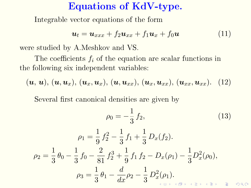### Equations of KdV-type.

Integrable vector equations of the form

$$
\boldsymbol{u}_t = \boldsymbol{u}_{xxx} + f_2 \boldsymbol{u}_{xx} + f_1 \boldsymbol{u}_x + f_0 \boldsymbol{u} \tag{11}
$$

were studied by A.Meshkov and VS.

The coefficients  $f_i$  of the equation are scalar functions in the following six independent variables:

$$
(\boldsymbol{u},\,\boldsymbol{u}),\,(\boldsymbol{u},\boldsymbol{u}_x),\,(\boldsymbol{u}_x,\boldsymbol{u}_x),\,(\boldsymbol{u},\boldsymbol{u}_{xx}),\,(\boldsymbol{u}_x,\boldsymbol{u}_{xx}),\,(\boldsymbol{u}_{xx},\boldsymbol{u}_{xx}).\tag{12}
$$

Several first canonical densities are given by

<span id="page-20-0"></span>
$$
\rho_0 = -\frac{1}{3} f_2,\tag{13}
$$

$$
\rho_1 = \frac{1}{9} f_2^2 - \frac{1}{3} f_1 + \frac{1}{3} D_x(f_2).
$$
  
\n
$$
\rho_2 = \frac{1}{3} \theta_0 - \frac{1}{3} f_0 - \frac{2}{81} f_2^3 + \frac{1}{9} f_1 f_2 - D_x(\rho_1) - \frac{1}{3} D_x^2(\rho_0),
$$
  
\n
$$
\rho_3 = \frac{1}{3} \theta_1 - \frac{d}{dx} \rho_2 - \frac{1}{3} D_x^2(\rho_1).
$$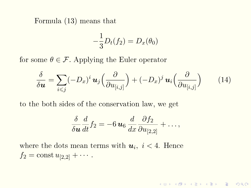Formula [\(13\)](#page-20-0) means that

$$
-\frac{1}{3}D_t(f_2) = D_x(\theta_0)
$$

for some  $\theta \in \mathcal{F}$ . Applying the Euler operator

$$
\frac{\delta}{\delta \mathbf{u}} = \sum_{i \leq j} (-D_x)^i \, \mathbf{u}_j \left( \frac{\partial}{\partial u_{[i,j]}} \right) + (-D_x)^j \, \mathbf{u}_i \left( \frac{\partial}{\partial u_{[i,j]}} \right) \tag{14}
$$

to the both sides of the conservation law, we get

$$
\frac{\delta}{\delta \mathbf{u}} \frac{d}{dt} f_2 = -6 \mathbf{u}_6 \frac{d}{dx} \frac{\partial f_2}{\partial u_{[2,2]}} + \dots,
$$

where the dots mean terms with  $u_i$ ,  $i < 4$ . Hence  $f_2 = \text{const } u_{[2,2]} + \cdots$ .

K □ ▶ K ● K K X B X X B X B X 9 Q Q Q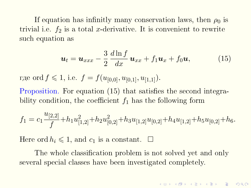If equation has infinitly many conservation laws, then  $\rho_0$  is trivial i.e.  $f_2$  is a total x-derivative. It is convenient to rewrite such equation as

<span id="page-22-0"></span>
$$
\boldsymbol{u}_t = \boldsymbol{u}_{xxx} - \frac{3}{2} \frac{d \ln f}{dx} \boldsymbol{u}_{xx} + f_1 \boldsymbol{u}_x + f_0 \boldsymbol{u}, \qquad (15)
$$

где ord  $f \leq 1$ , i.e.  $f = f(u_{[0,0]}, u_{[0,1]}, u_{[1,1]}).$ 

Proposition. For equation  $(15)$  that satisfies the second integrability condition, the coefficient  $f_1$  has the following form

$$
f_1 = c_1 \frac{u_{[2,2]}}{f} + h_1 u_{[1,2]}^2 + h_2 u_{[0,2]}^2 + h_3 u_{[1,2]} u_{[0,2]} + h_4 u_{[1,2]} + h_5 u_{[0,2]} + h_6.
$$

Here ord  $h_i \leq 1$ , and  $c_1$  is a constant.  $\square$ 

The whole classification problem is not solved yet and only several special classes have been investigated completely.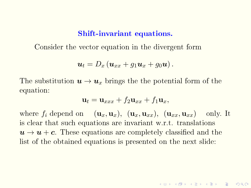#### Shift-invariant equations.

Consider the vector equation in the divergent form

$$
\boldsymbol{u}_t=D_x\left(\boldsymbol{u}_{xx}+g_1\boldsymbol{u}_x+g_0\boldsymbol{u}\right).
$$

The substitution  $u \to u_x$  brings the the potential form of the equation:

$$
\mathbf{u}_t = \mathbf{u}_{xxx} + f_2 \mathbf{u}_{xx} + f_1 \mathbf{u}_x,
$$

where  $f_i$  depend on  $(\mathbf{u}_x, \mathbf{u}_x)$ ,  $(\mathbf{u}_x, \mathbf{u}_{xx})$ ,  $(\mathbf{u}_{xx}, \mathbf{u}_{xx})$  only. It is clear that such equations are invariant w.r.t. translations  $u \rightarrow u + c$ . These equations are completely classified and the list of the obtained equations is presented on the next slide: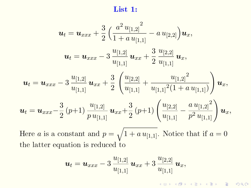List 1:

$$
\mathbf{u}_{t} = \mathbf{u}_{xxx} + \frac{3}{2} \left( \frac{a^2 u_{[1,2]}}{1 + a u_{[1,1]}} - a u_{[2,2]} \right) \mathbf{u}_{x},
$$
\n
$$
\mathbf{u}_{t} = \mathbf{u}_{xxx} - 3 \frac{u_{[1,2]}}{u_{[1,1]}} \mathbf{u}_{xx} + \frac{3}{2} \frac{u_{[2,2]}}{u_{[1,1]}} \mathbf{u}_{x},
$$
\n
$$
\mathbf{u}_{t} = \mathbf{u}_{xxx} - 3 \frac{u_{[1,2]}}{u_{[1,1]}} \mathbf{u}_{xx} + \frac{3}{2} \left( \frac{u_{[2,2]}}{u_{[1,1]}} + \frac{u_{[1,2]}^2}{u_{[1,1]}^2 (1 + a u_{[1,1]})} \right) \mathbf{u}_{x},
$$
\n
$$
\mathbf{u}_{t} = \mathbf{u}_{xxx} - \frac{3}{2} (p+1) \frac{u_{[1,2]}}{p u_{[1,1]}} \mathbf{u}_{xx} + \frac{3}{2} (p+1) \left( \frac{u_{[2,2]}}{u_{[1,1]}} - \frac{a u_{[1,2]}^2}{p^2 u_{[1,1]}} \right) \mathbf{u}_{x},
$$

Here *a* is a constant and  $p = \sqrt{1 + a u_{[1,1]}}$ . Notice that if  $a = 0$ the latter equation is reduced to

$$
\boldsymbol{u}_t = \boldsymbol{u}_{xxx} - 3 \frac{u_{[1,2]}}{u_{[1,1]}} \boldsymbol{u}_{xx} + 3 \frac{u_{[2,2]}}{u_{[1,1]}} \boldsymbol{u}_x,
$$

K □ ▶ K ● K K X B X X B X B X 9 Q Q Q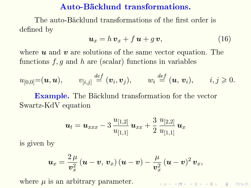### Auto-Backlund transformations.

The auto-Bäcklund transformations of the first order is defined by

$$
\boldsymbol{u}_x = h \, \boldsymbol{v}_x + f \, \boldsymbol{u} + g \, \boldsymbol{v}, \tag{16}
$$

where  $u$  and  $v$  are solutions of the same vector equation. The functions  $f, g$  and  $h$  are (scalar) functions in variables

$$
u_{[0,0]} = (\boldsymbol{u},\boldsymbol{u}), \qquad v_{[i,j]} \stackrel{def}{=} (\boldsymbol{v}_i, \boldsymbol{v}_j), \qquad w_i \stackrel{def}{=} (\boldsymbol{u},\,\boldsymbol{v}_i), \qquad i,j \geqslant 0.
$$

**Example.** The Bäcklund transformation for the vector Swartz-KdV equation

$$
\bm{u}_t = \bm{u}_{xxx} - 3\, \frac{u_{[1,2]}}{u_{[1,1]}}\, \bm{u}_{xx} + \frac{3}{2}\, \frac{u_{[2,2]}}{u_{[1,1]}}\, \bm{u}_x
$$

is given by

$$
\boldsymbol{u}_x = \frac{2 \,\mu}{\boldsymbol{v}_x^2} \left( \boldsymbol{u} - \boldsymbol{v}, \, \boldsymbol{v}_x \right) \left( \boldsymbol{u} - \boldsymbol{v} \right) - \frac{\mu}{\boldsymbol{v}_x^2} \left( \boldsymbol{u} - \boldsymbol{v} \right)^2 \boldsymbol{v}_x,
$$

where  $\mu$  is an arbitrary parameter.

**ADD REPARED ARE PROVIDE**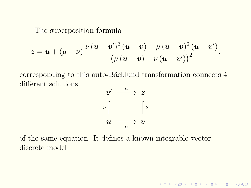The superposition formula

$$
z = u + (\mu - \nu) \frac{\nu (u - v')^2 (u - v) - \mu (u - v)^2 (u - v')}{(\mu (u - v) - \nu (u - v'))^2},
$$

corresponding to this auto-Backlund transformation connects 4 different solutions



K ロ ▶ K 레 ≯ K X B ≯ K 파 ≯ X 9 Q Q Q

of the same equation. It defines a known integrable vector discrete model.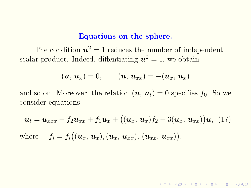#### Equations on the sphere.

The condition  $u^2 = 1$  reduces the number of independent scalar product. Indeed, diffentiating  $\boldsymbol{u}^2=1$ , we obtain

$$
(\boldsymbol{u},\,\boldsymbol{u}_x)=0,\qquad (\boldsymbol{u},\,\boldsymbol{u}_{xx})=-(\boldsymbol{u}_x,\,\boldsymbol{u}_x)
$$

and so on. Moreover, the relation  $(u, u_t) = 0$  specifies  $f_0$ . So we consider equations

$$
\mathbf{u}_t = \mathbf{u}_{xxx} + f_2 \mathbf{u}_{xx} + f_1 \mathbf{u}_x + ((\mathbf{u}_x, \mathbf{u}_x) f_2 + 3(\mathbf{u}_x, \mathbf{u}_{xx})) \mathbf{u}, \tag{17}
$$
  
where  $f_i = f_i((\mathbf{u}_x, \mathbf{u}_x), (\mathbf{u}_x, \mathbf{u}_{xx}), (\mathbf{u}_{xx}, \mathbf{u}_{xx})).$ 

**AD A 4 4 4 3 A 3 A 4 B A 4 B A 4 B A 4 B A 4 B A 4 B A 4 B A 4 B A 4 B A 4 B A 4 B A 4 B A 4 B A 4 B A 4 B A 4 B A 4 B A 4 B A 4 B A 4 B A 4 B A 4 B A 4 B A 4 B A 4 B A 4 B A 4 B A 4 B A 4 B A 4 B A 4 B A 4 B A 4 B A 4 B**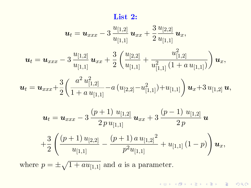### List 2:

$$
\mathbf{u}_{t} = \mathbf{u}_{xxx} - 3 \frac{u_{[1,2]}}{u_{[1,1]}} \mathbf{u}_{xx} + \frac{3}{2} \frac{u_{[2,2]}}{u_{[1,1]}} \mathbf{u}_{x},
$$
\n
$$
\mathbf{u}_{t} = \mathbf{u}_{xxx} - 3 \frac{u_{[1,2]}}{u_{[1,1]}} \mathbf{u}_{xx} + \frac{3}{2} \left( \frac{u_{[2,2]}}{u_{[1,1]}} + \frac{u_{[1,2]}}{u_{[2,1]}} (1 + a u_{[1,1]}) \right) \mathbf{u}_{x},
$$
\n
$$
\mathbf{u}_{t} = \mathbf{u}_{xxx} + \frac{3}{2} \left( \frac{a^2 u_{[1,2]}}{1 + a u_{[1,1]}} - a (u_{[2,2]}-u_{[1,1]}^2) + u_{[1,1]} \right) \mathbf{u}_{x} + 3 u_{[1,2]} \mathbf{u},
$$
\n
$$
\mathbf{u}_{t} = \mathbf{u}_{xxx} - 3 \frac{(p+1) u_{[1,2]}}{2 p u_{[1,1]}} \mathbf{u}_{xx} + 3 \frac{(p-1) u_{[1,2]}}{2 p} \mathbf{u}
$$
\n
$$
+ \frac{3}{2} \left( \frac{(p+1) u_{[2,2]}}{u_{[1,1]}} - \frac{(p+1) a u_{[1,2]}}{p^{2} u_{[1,1]}} + u_{[1,1]} (1-p) \right) \mathbf{u}_{x},
$$
\nwhere  $p = \pm \sqrt{1 + a u_{[1,1]}}$  and  $a$  is a parameter.

K □ X K ④ X K B X K B X X B X Y Q Q Q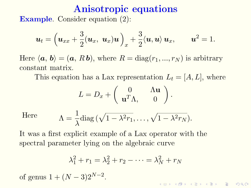# Anisotropic equations

Example. Consider equation [\(2\)](#page-9-0):

$$
\boldsymbol{u}_t = \left(\boldsymbol{u}_{xx} + \frac{3}{2}(\boldsymbol{u}_x, \ \boldsymbol{u}_x)\boldsymbol{u}\right)_x + \frac{3}{2}\langle \boldsymbol{u}, \boldsymbol{u}\rangle \, \boldsymbol{u}_x, \qquad \boldsymbol{u}^2 = 1.
$$

Here  $\langle a, b \rangle = (a, R b)$ , where  $R = diag(r_1, ..., r_N)$  is arbitrary constant matrix.

This equation has a Lax representation  $L_t = [A, L]$ , where

$$
L = D_x + \begin{pmatrix} 0 & \Lambda \mathbf{u} \\ \mathbf{u}^T \Lambda, & 0 \end{pmatrix}.
$$

Here

$$
\Lambda = \frac{1}{\lambda} \text{diag}(\sqrt{1 - \lambda^2 r_1}, \dots, \sqrt{1 - \lambda^2 r_N}).
$$

It was a first explicit example of a Lax operator with the spectral parameter lying on the algebraic curve

$$
\lambda_1^2 + r_1 = \lambda_2^2 + r_2 - \dots = \lambda_N^2 + r_N
$$

of genus  $1 + (N-3)2^{N-2}$ .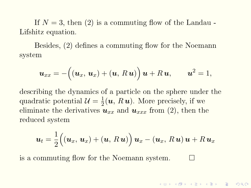If  $N = 3$ , then [\(2\)](#page-9-0) is a commuting flow of the Landau -Lifshitz equation.

Besides,  $(2)$  defines a commuting flow for the Noemann system

$$
\boldsymbol{u}_{xx} = -\big((\boldsymbol{u}_x, \boldsymbol{u}_x) + (\boldsymbol{u}, R\,\boldsymbol{u})\big)\,\boldsymbol{u} + R\,\boldsymbol{u}, \qquad \boldsymbol{u}^2 = 1,
$$

describing the dynamics of a particle on the sphere under the quadratic potential  $\mathcal{U} = \frac{1}{2}$  $\frac{1}{2}(\boldsymbol{u},\boldsymbol{R}\boldsymbol{u})$ . More precisely, if we eliminate the derivatives  $u_{xx}$  and  $u_{xxx}$  from [\(2\)](#page-9-0), then the reduced system

$$
\boldsymbol{u}_{t} = \frac{1}{2} ((\boldsymbol{u}_{x}, \boldsymbol{u}_{x}) + (\boldsymbol{u}, R\boldsymbol{u})) \boldsymbol{u}_{x} - (\boldsymbol{u}_{x}, R\boldsymbol{u}) \boldsymbol{u} + R\boldsymbol{u}_{x}
$$

is a commuting flow for the Noemann system.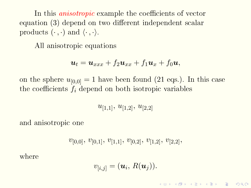In this *anisotropic* example the coefficients of vector equation  $(3)$  depend on two different independent scalar products  $(\cdot, \cdot)$  and  $\langle \cdot, \cdot \rangle$ .

All anisotropic equations

$$
\boldsymbol{u}_t = \boldsymbol{u}_{xxx} + f_2 \boldsymbol{u}_{xx} + f_1 \boldsymbol{u}_x + f_0 \boldsymbol{u},
$$

on the sphere  $u_{[0,0]} = 1$  have been found (21 eqs.). In this case the coefficients  $f_i$  depend on both isotropic variables

 $u_{[1,1]}, u_{[1,2]}, u_{[2,2]}$ 

and anisotropic one

$$
v_{[0,0]},\, v_{[0,1]},\, v_{[1,1]},\, v_{[0,2]},\, v_{[1,2]},\, v_{[2,2]},\,
$$

where

$$
v_{[i,j]} = (\boldsymbol{u}_i, R(\boldsymbol{u}_j)).
$$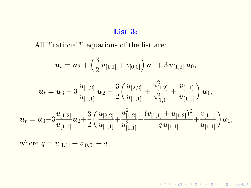#### List 3:

All "'rational"' equations of the list are:

$$
\bm{u}_{t} = \bm{u}_{3} + \left(\frac{3}{2} u_{[1,1]} + v_{[0,0]}\right) \bm{u}_{1} + 3 u_{[1,2]} \, \bm{u}_{0},
$$

$$
\boldsymbol{u}_{t} = \boldsymbol{u}_{3} - 3 \frac{u_{[1,2]}}{u_{[1,1]}} \boldsymbol{u}_{2} + \frac{3}{2} \bigg( \frac{u_{[2,2]}}{u_{[1,1]}} + \frac{u_{[1,2]}^2}{u_{[1,1]}^2} + \frac{v_{[1,1]}}{u_{[1,1]}} \bigg) \boldsymbol{u}_{1},
$$
  

$$
\boldsymbol{u}_{t} = \boldsymbol{u}_{3} - 3 \frac{u_{[1,2]}}{u_{[1,1]}} \boldsymbol{u}_{2} + \frac{3}{2} \bigg( \frac{u_{[2,2]}}{u_{[1,1]}} + \frac{u_{[1,2]}^2}{u_{[1,1]}^2} - \frac{(v_{[0,1]} + u_{[1,2]})^2}{q u_{[1,1]}} + \frac{v_{[1,1]}}{u_{[1,1]}} \bigg) \boldsymbol{u}_{1},
$$

K □ X K ④ X K B X K B X X B X Y Q Q Q

where  $q = u_{[1,1]} + v_{[0,0]} + a$ .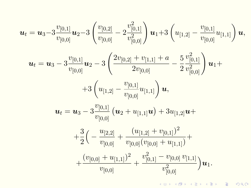<span id="page-33-0"></span>
$$
\boldsymbol{u}_{t} = \boldsymbol{u}_{3} - 3 \frac{v_{[0,1]}}{v_{[0,0]}} \boldsymbol{u}_{2} - 3 \left( \frac{v_{[0,2]}}{v_{[0,0]}} - 2 \frac{v_{[0,1]}^{2}}{v_{[0,0]}^{2}} \right) \boldsymbol{u}_{1} + 3 \left( u_{[1,2]} - \frac{v_{[0,1]}}{v_{[0,0]}} u_{[1,1]} \right) \boldsymbol{u},
$$
\n
$$
\boldsymbol{u}_{t} = \boldsymbol{u}_{3} - 3 \frac{v_{[0,1]}}{v_{[0,0]}} \boldsymbol{u}_{2} - 3 \left( \frac{2v_{[0,2]} + v_{[1,1]} + a}{2v_{[0,0]}} - \frac{5}{2} \frac{v_{[0,1]}^{2}}{v_{[0,0]}^{2}} \right) \boldsymbol{u}_{1} +
$$
\n
$$
+ 3 \left( u_{[1,2]} - \frac{v_{[0,1]}}{v_{[0,0]}} u_{[1,1]} \right) \boldsymbol{u},
$$
\n
$$
\boldsymbol{u}_{t} = \boldsymbol{u}_{3} - 3 \frac{v_{[0,1]}}{v_{[0,0]}} \left( \boldsymbol{u}_{2} + u_{[1,1]} \boldsymbol{u} \right) + 3u_{[1,2]} \boldsymbol{u} +
$$
\n
$$
+ \frac{3}{2} \left( -\frac{u_{[2,2]}}{v_{[0,0]}} + \frac{(u_{[1,2]} + v_{[0,1]})^{2}}{v_{[0,0]}(v_{[0,0]} + u_{[1,1]})} + \frac{(v_{[0,0]} + u_{[1,1]})^{2}}{v_{[0,0]}} + \frac{v_{[0,1]}^{2} - v_{[0,0]} v_{[1,1]}}{v_{[0,0]}^{2}} \right) \boldsymbol{u}_{1}.
$$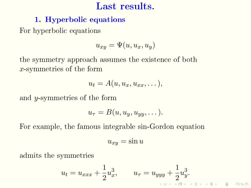## Last results.

## <span id="page-34-0"></span>1. Hyperbolic equations

For hyperbolic equations

$$
u_{xy} = \Psi(u, u_x, u_y)
$$

the symmetry approach assumes the existence of both x-symmetries of the form

$$
u_t = A(u, u_x, u_{xx}, \dots),
$$

and  $y$ -symmetries of the form

$$
u_{\tau}=B(u,u_y,u_{yy},\dots).
$$

For example, the famous integrable sin-Gordon equation

$$
u_{xy} = \sin u
$$

admits the symmetries

$$
u_t = u_{xxx} + \frac{1}{2}u_x^3, \qquad u_\tau = u_{yyy} + \frac{1}{2}u_y^3.
$$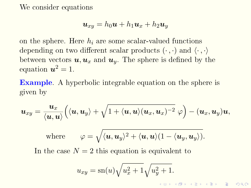We consider equations

$$
\boldsymbol{u}_{xy}=h_0\boldsymbol{u}+h_1\boldsymbol{u}_x+h_2\boldsymbol{u}_y
$$

on the sphere. Here  $h_i$  are some scalar-valued functions depending on two different scalar products  $(\cdot, \cdot)$  and  $\langle \cdot, \cdot \rangle$ between vectors  $u, u_x$  and  $u_y$ . The sphere is defined by the equation  $u^2 = 1$ .

Example. A hyperbolic integrable equation on the sphere is given by

$$
\boldsymbol{u}_{xy}=\frac{\boldsymbol{u}_x}{\langle \boldsymbol{u},\boldsymbol{u}\rangle}\Big(\langle \boldsymbol{u},\boldsymbol{u}_y\rangle+\sqrt{1+\langle \boldsymbol{u},\boldsymbol{u}\rangle(\boldsymbol{u}_x,\boldsymbol{u}_x)^{-2}}\,\,\varphi\Big)-(\boldsymbol{u}_x,\boldsymbol{u}_y)\boldsymbol{u},
$$

where 
$$
\varphi = \sqrt{\langle \boldsymbol{u}, \boldsymbol{u}_y \rangle^2 + \langle \boldsymbol{u}, \boldsymbol{u} \rangle (1 - \langle \boldsymbol{u}_y, \boldsymbol{u}_y \rangle)}
$$
.

In the case  $N = 2$  this equation is equivalent to

$$
u_{xy}=\mathrm{sn}(u)\sqrt{u_x^2+1}\sqrt{u_y^2+1}.
$$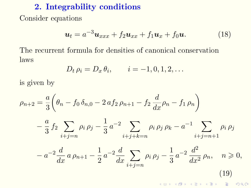## 2. Integrability conditions

Consider equations

<span id="page-36-0"></span>
$$
\boldsymbol{u}_t = a^{-3}\boldsymbol{u}_{xxx} + f_2\boldsymbol{u}_{xx} + f_1\boldsymbol{u}_x + f_0\boldsymbol{u}.\tag{18}
$$

The recurrent formula for densities of canonical conservation laws

<span id="page-36-1"></span>
$$
D_t \, \rho_i = D_x \, \theta_i, \qquad i = -1, 0, 1, 2, \dots
$$

is given by

$$
\rho_{n+2} = \frac{a}{3} \left( \theta_n - f_0 \delta_{n,0} - 2 \alpha f_2 \rho_{n+1} - f_2 \frac{d}{dx} \rho_n - f_1 \rho_n \right)
$$
  

$$
- \frac{a}{3} f_2 \sum_{i+j=n} \rho_i \rho_j - \frac{1}{3} a^{-2} \sum_{i+j+k=n} \rho_i \rho_j \rho_k - a^{-1} \sum_{i+j=n+1} \rho_i \rho_j
$$
  

$$
- a^{-2} \frac{d}{dx} a \rho_{n+1} - \frac{1}{2} a^{-2} \frac{d}{dx} \sum_{i+j=n} \rho_i \rho_j - \frac{1}{3} a^{-2} \frac{d^2}{dx^2} \rho_n, \quad n \ge 0,
$$
  
(19)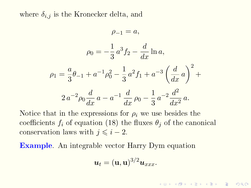where  $\delta_{i,j}$  is the Kronecker delta, and

$$
\rho_{-1} = a,
$$
  
\n
$$
\rho_0 = -\frac{1}{3}a^3 f_2 - \frac{d}{dx}\ln a,
$$
  
\n
$$
\rho_1 = \frac{a}{3}\theta_{-1} + a^{-1}\rho_0^2 - \frac{1}{3}a^2 f_1 + a^{-3}\left(\frac{d}{dx}a\right)^2 +
$$
  
\n
$$
2 a^{-2}\rho_0 \frac{d}{dx}a - a^{-1} \frac{d}{dx}\rho_0 - \frac{1}{3}a^{-2}\frac{d^2}{dx^2}a.
$$

Notice that in the expressions for  $\rho_i$  we use besides the coefficients  $f_i$  of equation [\(18\)](#page-36-0) the fluxes  $\theta_i$  of the canonical conservation laws with  $j \leq i - 2$ .

Example. An integrable vector Harry Dym equation

$$
\boldsymbol{u}_t = (\mathbf{u}, \mathbf{u})^{3/2} \boldsymbol{u}_{xxx}.
$$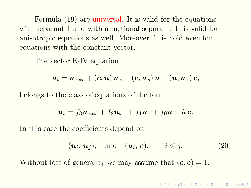Formula [\(19\)](#page-36-1) are universal. It is valid for the equations with separant 1 and with a fuctional separant. It is valid for anisotropic equations as well. Moreover, it is hold even for equations with the constant vector.

The vector KdV equation

$$
\boldsymbol{u}_{t}=\boldsymbol{u}_{xxx}+\left(\boldsymbol{c},\boldsymbol{u}\right)\boldsymbol{u}_{x}+\left(\boldsymbol{c},\boldsymbol{u}_{x}\right)\boldsymbol{u}-\left(\boldsymbol{u},\boldsymbol{u}_{x}\right)\boldsymbol{c},
$$

belongs to the class of equations of the form

$$
\boldsymbol{u}_t = f_3 \boldsymbol{u}_{xxx} + f_2 \boldsymbol{u}_{xx} + f_1 \boldsymbol{u}_x + f_0 \boldsymbol{u} + h \, \boldsymbol{c}.
$$

In this case the coefficients depend on

<span id="page-38-0"></span>
$$
(\boldsymbol{u}_i, \boldsymbol{u}_j), \quad \text{and} \quad (\boldsymbol{u}_i, \boldsymbol{c}), \qquad i \leqslant j. \tag{20}
$$

Without loss of generality we may assume that  $(c, c) = 1$ .